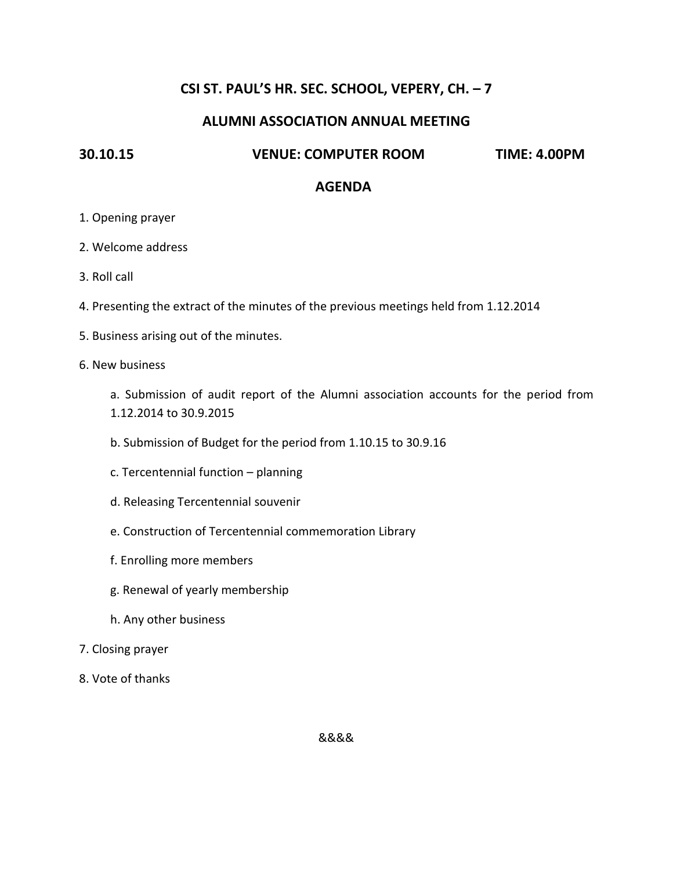## **CSI ST. PAUL'S HR. SEC. SCHOOL, VEPERY, CH. – 7**

## **ALUMNI ASSOCIATION ANNUAL MEETING**

### **30.10.15 VENUE: COMPUTER ROOM TIME: 4.00PM**

#### **AGENDA**

- 1. Opening prayer
- 2. Welcome address
- 3. Roll call
- 4. Presenting the extract of the minutes of the previous meetings held from 1.12.2014
- 5. Business arising out of the minutes.
- 6. New business
	- a. Submission of audit report of the Alumni association accounts for the period from 1.12.2014 to 30.9.2015
	- b. Submission of Budget for the period from 1.10.15 to 30.9.16
	- c. Tercentennial function planning
	- d. Releasing Tercentennial souvenir
	- e. Construction of Tercentennial commemoration Library
	- f. Enrolling more members
	- g. Renewal of yearly membership
	- h. Any other business
- 7. Closing prayer
- 8. Vote of thanks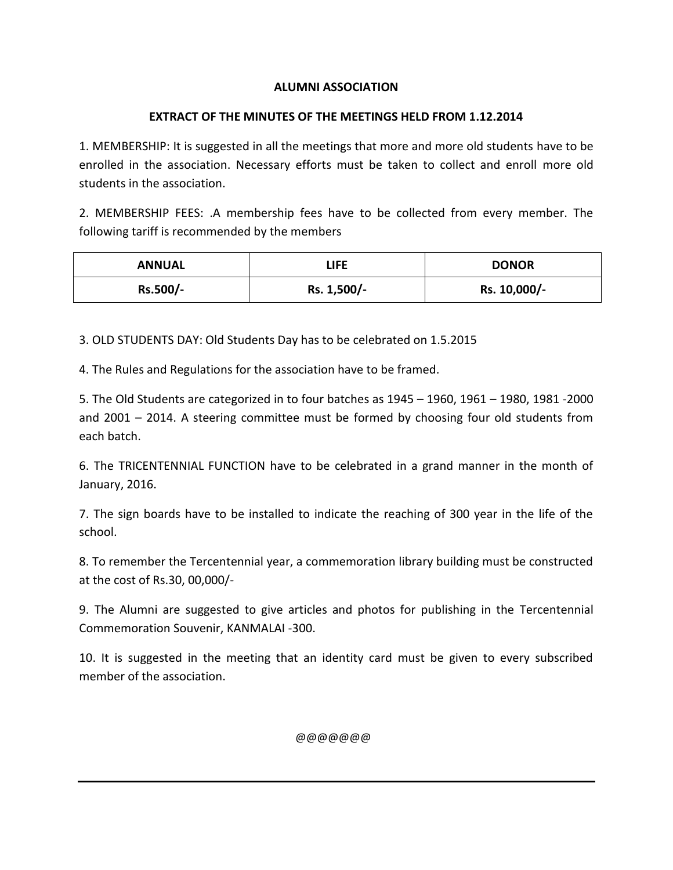## **ALUMNI ASSOCIATION**

## **EXTRACT OF THE MINUTES OF THE MEETINGS HELD FROM 1.12.2014**

1. MEMBERSHIP: It is suggested in all the meetings that more and more old students have to be enrolled in the association. Necessary efforts must be taken to collect and enroll more old students in the association.

2. MEMBERSHIP FEES: .A membership fees have to be collected from every member. The following tariff is recommended by the members

| <b>ANNUAL</b> | <b>LIFE</b> | <b>DONOR</b> |  |  |
|---------------|-------------|--------------|--|--|
| Rs.500/-      | Rs. 1,500/- | Rs. 10,000/- |  |  |

3. OLD STUDENTS DAY: Old Students Day has to be celebrated on 1.5.2015

4. The Rules and Regulations for the association have to be framed.

5. The Old Students are categorized in to four batches as 1945 – 1960, 1961 – 1980, 1981 -2000 and 2001 – 2014. A steering committee must be formed by choosing four old students from each batch.

6. The TRICENTENNIAL FUNCTION have to be celebrated in a grand manner in the month of January, 2016.

7. The sign boards have to be installed to indicate the reaching of 300 year in the life of the school.

8. To remember the Tercentennial year, a commemoration library building must be constructed at the cost of Rs.30, 00,000/-

9. The Alumni are suggested to give articles and photos for publishing in the Tercentennial Commemoration Souvenir, KANMALAI -300.

10. It is suggested in the meeting that an identity card must be given to every subscribed member of the association.

@@@@@@@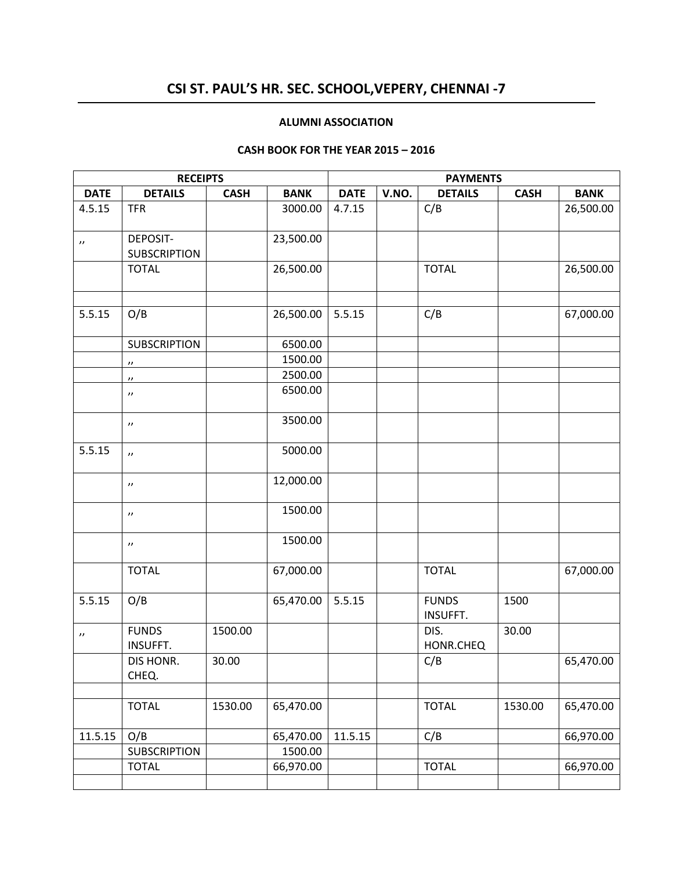# **CSI ST. PAUL'S HR. SEC. SCHOOL,VEPERY, CHENNAI -7**

#### **ALUMNI ASSOCIATION**

#### **CASH BOOK FOR THE YEAR 2015 – 2016**

|                       | <b>RECEIPTS</b>                        |             |             | <b>PAYMENTS</b> |       |                                 |             |             |  |
|-----------------------|----------------------------------------|-------------|-------------|-----------------|-------|---------------------------------|-------------|-------------|--|
| <b>DATE</b>           | <b>DETAILS</b>                         | <b>CASH</b> | <b>BANK</b> | <b>DATE</b>     | V.NO. | <b>DETAILS</b>                  | <b>CASH</b> | <b>BANK</b> |  |
| 4.5.15                | <b>TFR</b>                             |             | 3000.00     | 4.7.15          |       | C/B                             |             | 26,500.00   |  |
| $\boldsymbol{\prime}$ | <b>DEPOSIT-</b><br><b>SUBSCRIPTION</b> |             | 23,500.00   |                 |       |                                 |             |             |  |
|                       | <b>TOTAL</b>                           |             | 26,500.00   |                 |       | <b>TOTAL</b>                    |             | 26,500.00   |  |
| 5.5.15                | O/B                                    |             | 26,500.00   | 5.5.15          |       | C/B                             |             | 67,000.00   |  |
|                       | <b>SUBSCRIPTION</b>                    |             | 6500.00     |                 |       |                                 |             |             |  |
|                       | $^{\prime\prime}$                      |             | 1500.00     |                 |       |                                 |             |             |  |
|                       | $^{\prime\prime}$                      |             | 2500.00     |                 |       |                                 |             |             |  |
|                       | $^{\prime\prime}$                      |             | 6500.00     |                 |       |                                 |             |             |  |
|                       | $\boldsymbol{\prime}$                  |             | 3500.00     |                 |       |                                 |             |             |  |
| 5.5.15                | $\prime$                               |             | 5000.00     |                 |       |                                 |             |             |  |
|                       | $^{\prime\prime}$                      |             | 12,000.00   |                 |       |                                 |             |             |  |
|                       | $\prime\prime$                         |             | 1500.00     |                 |       |                                 |             |             |  |
|                       | $^{\prime\prime}$                      |             | 1500.00     |                 |       |                                 |             |             |  |
|                       | <b>TOTAL</b>                           |             | 67,000.00   |                 |       | <b>TOTAL</b>                    |             | 67,000.00   |  |
| 5.5.15                | O/B                                    |             | 65,470.00   | 5.5.15          |       | <b>FUNDS</b><br><b>INSUFFT.</b> | 1500        |             |  |
| $\boldsymbol{\prime}$ | <b>FUNDS</b><br><b>INSUFFT.</b>        | 1500.00     |             |                 |       | DIS.<br>HONR.CHEQ               | 30.00       |             |  |
|                       | DIS HONR.<br>CHEQ.                     | 30.00       |             |                 |       | C/B                             |             | 65,470.00   |  |
|                       |                                        |             |             |                 |       |                                 |             |             |  |
|                       | <b>TOTAL</b>                           | 1530.00     | 65,470.00   |                 |       | <b>TOTAL</b>                    | 1530.00     | 65,470.00   |  |
| 11.5.15               | O/B                                    |             | 65,470.00   | 11.5.15         |       | C/B                             |             | 66,970.00   |  |
|                       | <b>SUBSCRIPTION</b>                    |             | 1500.00     |                 |       |                                 |             |             |  |
|                       | <b>TOTAL</b>                           |             | 66,970.00   |                 |       | <b>TOTAL</b>                    |             | 66,970.00   |  |
|                       |                                        |             |             |                 |       |                                 |             |             |  |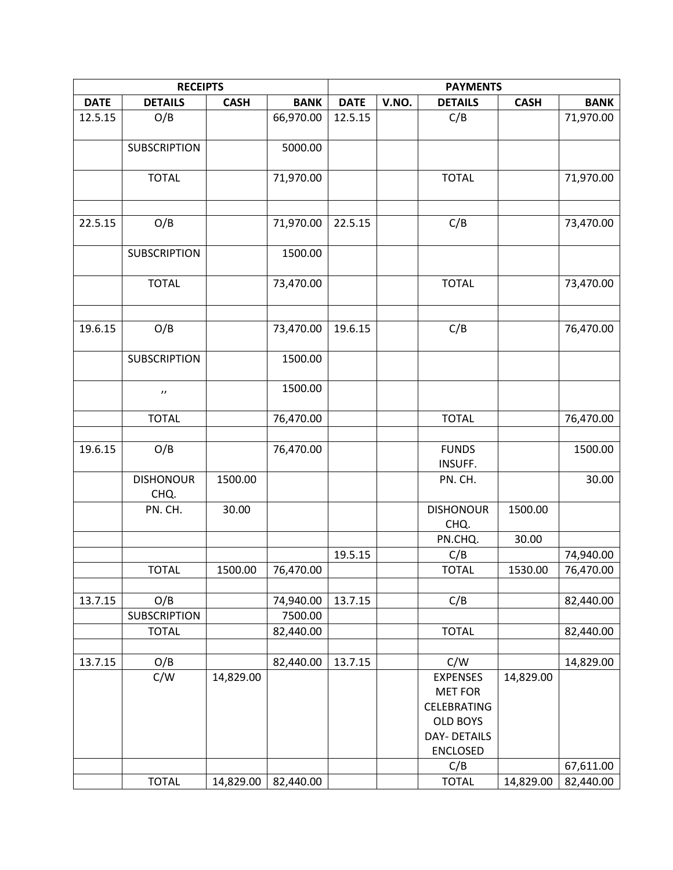|             | <b>PAYMENTS</b>          |             |             |             |       |                          |             |             |
|-------------|--------------------------|-------------|-------------|-------------|-------|--------------------------|-------------|-------------|
| <b>DATE</b> | <b>DETAILS</b>           | <b>CASH</b> | <b>BANK</b> | <b>DATE</b> | V.NO. | <b>DETAILS</b>           | <b>CASH</b> | <b>BANK</b> |
| 12.5.15     | O/B                      |             | 66,970.00   | 12.5.15     |       | C/B                      |             | 71,970.00   |
|             |                          |             |             |             |       |                          |             |             |
|             | <b>SUBSCRIPTION</b>      |             | 5000.00     |             |       |                          |             |             |
|             | <b>TOTAL</b>             |             | 71,970.00   |             |       | <b>TOTAL</b>             |             | 71,970.00   |
| 22.5.15     | O/B                      |             | 71,970.00   | 22.5.15     |       | C/B                      |             | 73,470.00   |
|             | <b>SUBSCRIPTION</b>      |             | 1500.00     |             |       |                          |             |             |
|             | <b>TOTAL</b>             |             | 73,470.00   |             |       | <b>TOTAL</b>             |             | 73,470.00   |
|             |                          |             |             |             |       |                          |             |             |
| 19.6.15     | O/B                      |             | 73,470.00   | 19.6.15     |       | C/B                      |             | 76,470.00   |
|             | <b>SUBSCRIPTION</b>      |             | 1500.00     |             |       |                          |             |             |
|             | $\boldsymbol{\prime}$    |             | 1500.00     |             |       |                          |             |             |
|             | <b>TOTAL</b>             |             | 76,470.00   |             |       | <b>TOTAL</b>             |             | 76,470.00   |
|             |                          |             |             |             |       |                          |             |             |
| 19.6.15     | O/B                      |             | 76,470.00   |             |       | <b>FUNDS</b><br>INSUFF.  |             | 1500.00     |
|             | <b>DISHONOUR</b><br>CHQ. | 1500.00     |             |             |       | PN. CH.                  |             | 30.00       |
|             | PN. CH.                  | 30.00       |             |             |       | <b>DISHONOUR</b><br>CHQ. | 1500.00     |             |
|             |                          |             |             |             |       | PN.CHQ.                  | 30.00       |             |
|             |                          |             |             | 19.5.15     |       | C/B                      |             | 74,940.00   |
|             | <b>TOTAL</b>             | 1500.00     | 76,470.00   |             |       | <b>TOTAL</b>             | 1530.00     | 76,470.00   |
| 13.7.15     | O/B                      |             | 74,940.00   | 13.7.15     |       | C/B                      |             | 82,440.00   |
|             | <b>SUBSCRIPTION</b>      |             | 7500.00     |             |       |                          |             |             |
|             | <b>TOTAL</b>             |             | 82,440.00   |             |       | <b>TOTAL</b>             |             | 82,440.00   |
| 13.7.15     | O/B                      |             | 82,440.00   | 13.7.15     |       | C/W                      |             | 14,829.00   |
|             | C/W                      | 14,829.00   |             |             |       | <b>EXPENSES</b>          | 14,829.00   |             |
|             |                          |             |             |             |       | <b>MET FOR</b>           |             |             |
|             |                          |             |             |             |       | CELEBRATING              |             |             |
|             |                          |             |             |             |       | <b>OLD BOYS</b>          |             |             |
|             |                          |             |             |             |       | <b>DAY- DETAILS</b>      |             |             |
|             |                          |             |             |             |       | <b>ENCLOSED</b>          |             |             |
|             |                          |             |             |             |       | C/B                      |             | 67,611.00   |
|             | <b>TOTAL</b>             | 14,829.00   | 82,440.00   |             |       | <b>TOTAL</b>             | 14,829.00   | 82,440.00   |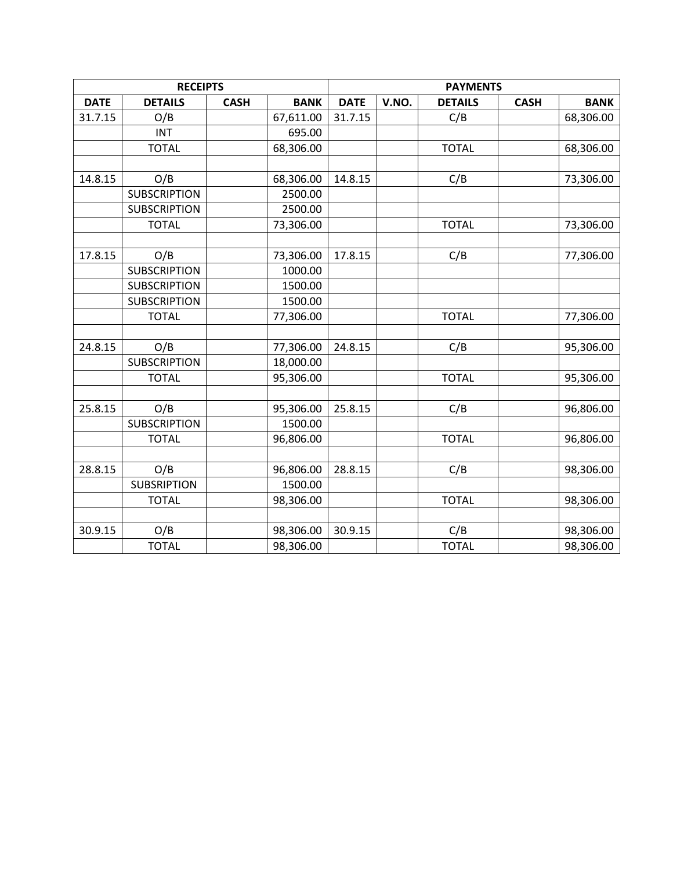|             | <b>RECEIPTS</b>     |             |             | <b>PAYMENTS</b>                                                      |  |              |  |           |  |  |
|-------------|---------------------|-------------|-------------|----------------------------------------------------------------------|--|--------------|--|-----------|--|--|
| <b>DATE</b> | <b>DETAILS</b>      | <b>CASH</b> | <b>BANK</b> | <b>CASH</b><br><b>DATE</b><br>V.NO.<br><b>DETAILS</b><br><b>BANK</b> |  |              |  |           |  |  |
| 31.7.15     | O/B                 |             | 67,611.00   | 31.7.15                                                              |  | C/B          |  | 68,306.00 |  |  |
|             | <b>INT</b>          |             | 695.00      |                                                                      |  |              |  |           |  |  |
|             | <b>TOTAL</b>        |             | 68,306.00   |                                                                      |  | <b>TOTAL</b> |  | 68,306.00 |  |  |
|             |                     |             |             |                                                                      |  |              |  |           |  |  |
| 14.8.15     | O/B                 |             | 68,306.00   | 14.8.15                                                              |  | C/B          |  | 73,306.00 |  |  |
|             | <b>SUBSCRIPTION</b> |             | 2500.00     |                                                                      |  |              |  |           |  |  |
|             | <b>SUBSCRIPTION</b> |             | 2500.00     |                                                                      |  |              |  |           |  |  |
|             | <b>TOTAL</b>        |             | 73,306.00   |                                                                      |  | <b>TOTAL</b> |  | 73,306.00 |  |  |
|             |                     |             |             |                                                                      |  |              |  |           |  |  |
| 17.8.15     | O/B                 |             | 73,306.00   | 17.8.15                                                              |  | C/B          |  | 77,306.00 |  |  |
|             | <b>SUBSCRIPTION</b> |             | 1000.00     |                                                                      |  |              |  |           |  |  |
|             | <b>SUBSCRIPTION</b> |             | 1500.00     |                                                                      |  |              |  |           |  |  |
|             | <b>SUBSCRIPTION</b> |             | 1500.00     |                                                                      |  |              |  |           |  |  |
|             | <b>TOTAL</b>        |             | 77,306.00   |                                                                      |  | <b>TOTAL</b> |  | 77,306.00 |  |  |
|             |                     |             |             |                                                                      |  |              |  |           |  |  |
| 24.8.15     | O/B                 |             | 77,306.00   | 24.8.15                                                              |  | C/B          |  | 95,306.00 |  |  |
|             | <b>SUBSCRIPTION</b> |             | 18,000.00   |                                                                      |  |              |  |           |  |  |
|             | <b>TOTAL</b>        |             | 95,306.00   |                                                                      |  | <b>TOTAL</b> |  | 95,306.00 |  |  |
|             |                     |             |             |                                                                      |  |              |  |           |  |  |
| 25.8.15     | O/B                 |             | 95,306.00   | 25.8.15                                                              |  | C/B          |  | 96,806.00 |  |  |
|             | <b>SUBSCRIPTION</b> |             | 1500.00     |                                                                      |  |              |  |           |  |  |
|             | <b>TOTAL</b>        |             | 96,806.00   |                                                                      |  | <b>TOTAL</b> |  | 96,806.00 |  |  |
|             |                     |             |             |                                                                      |  |              |  |           |  |  |
| 28.8.15     | O/B                 |             | 96,806.00   | 28.8.15                                                              |  | C/B          |  | 98,306.00 |  |  |
|             | <b>SUBSRIPTION</b>  |             | 1500.00     |                                                                      |  |              |  |           |  |  |
|             | <b>TOTAL</b>        |             | 98,306.00   |                                                                      |  | <b>TOTAL</b> |  | 98,306.00 |  |  |
|             |                     |             |             |                                                                      |  |              |  |           |  |  |
| 30.9.15     | O/B                 |             | 98,306.00   | 30.9.15                                                              |  | C/B          |  | 98,306.00 |  |  |
|             | <b>TOTAL</b>        |             | 98,306.00   |                                                                      |  | <b>TOTAL</b> |  | 98,306.00 |  |  |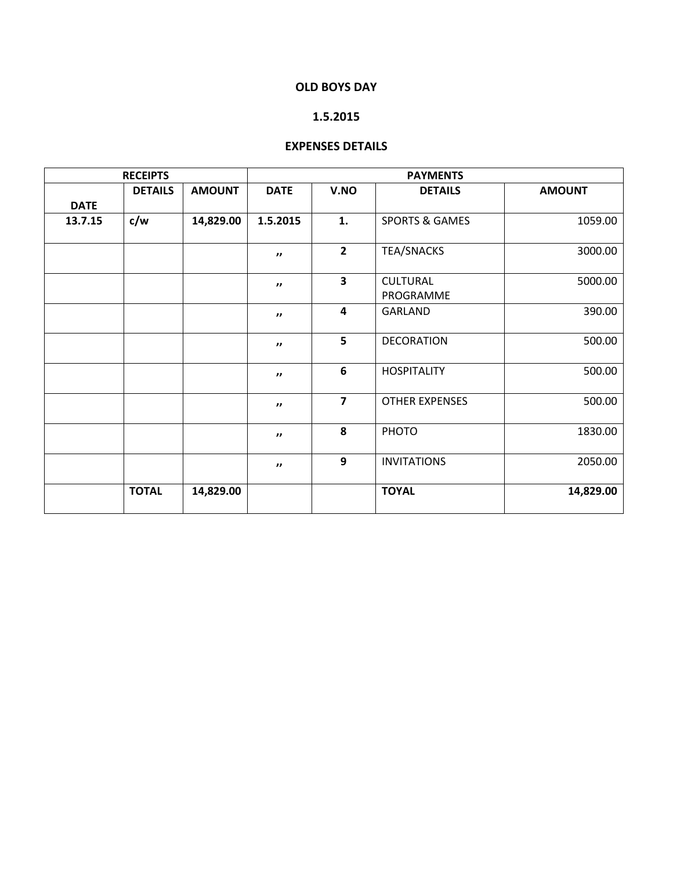### **OLD BOYS DAY**

#### **1.5.2015**

#### **EXPENSES DETAILS**

|             | <b>RECEIPTS</b> |               | <b>PAYMENTS</b>     |                         |                              |               |  |  |
|-------------|-----------------|---------------|---------------------|-------------------------|------------------------------|---------------|--|--|
|             | <b>DETAILS</b>  | <b>AMOUNT</b> | <b>DATE</b>         | V.NO                    | <b>DETAILS</b>               | <b>AMOUNT</b> |  |  |
| <b>DATE</b> |                 |               |                     |                         |                              |               |  |  |
| 13.7.15     | c/w             | 14,829.00     | 1.5.2015            | 1.                      | <b>SPORTS &amp; GAMES</b>    | 1059.00       |  |  |
|             |                 |               | $\mathbf{H}$        | $\overline{2}$          | <b>TEA/SNACKS</b>            | 3000.00       |  |  |
|             |                 |               | $\mathbf{H}$        | $\overline{\mathbf{3}}$ | <b>CULTURAL</b><br>PROGRAMME | 5000.00       |  |  |
|             |                 |               | $\mathbf{H}$        | $\overline{\mathbf{4}}$ | <b>GARLAND</b>               | 390.00        |  |  |
|             |                 |               | $\boldsymbol{\eta}$ | 5                       | <b>DECORATION</b>            | 500.00        |  |  |
|             |                 |               | $\boldsymbol{\eta}$ | 6                       | <b>HOSPITALITY</b>           | 500.00        |  |  |
|             |                 |               | $\mathbf{H}$        | $\overline{7}$          | <b>OTHER EXPENSES</b>        | 500.00        |  |  |
|             |                 |               | $\mathbf{H}$        | 8                       | PHOTO                        | 1830.00       |  |  |
|             |                 |               | $\mathbf{H}$        | 9                       | <b>INVITATIONS</b>           | 2050.00       |  |  |
|             | <b>TOTAL</b>    | 14,829.00     |                     |                         | <b>TOYAL</b>                 | 14,829.00     |  |  |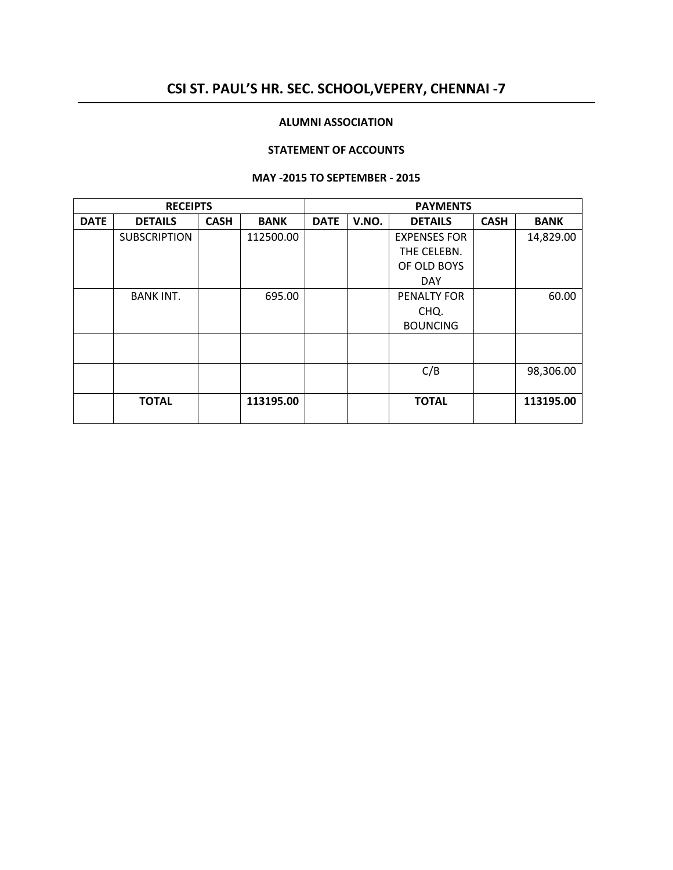## **CSI ST. PAUL'S HR. SEC. SCHOOL,VEPERY, CHENNAI -7**

#### **ALUMNI ASSOCIATION**

#### **STATEMENT OF ACCOUNTS**

#### **MAY -2015 TO SEPTEMBER - 2015**

|             | <b>RECEIPTS</b>     |             |             |             |       | <b>PAYMENTS</b>     |             |             |
|-------------|---------------------|-------------|-------------|-------------|-------|---------------------|-------------|-------------|
| <b>DATE</b> | <b>DETAILS</b>      | <b>CASH</b> | <b>BANK</b> | <b>DATE</b> | V.NO. | <b>DETAILS</b>      | <b>CASH</b> | <b>BANK</b> |
|             | <b>SUBSCRIPTION</b> |             | 112500.00   |             |       | <b>EXPENSES FOR</b> |             | 14,829.00   |
|             |                     |             |             |             |       | THE CELEBN.         |             |             |
|             |                     |             |             |             |       | OF OLD BOYS         |             |             |
|             |                     |             |             |             |       | <b>DAY</b>          |             |             |
|             | <b>BANK INT.</b>    |             | 695.00      |             |       | PENALTY FOR         |             | 60.00       |
|             |                     |             |             |             |       | CHQ.                |             |             |
|             |                     |             |             |             |       | <b>BOUNCING</b>     |             |             |
|             |                     |             |             |             |       |                     |             |             |
|             |                     |             |             |             |       |                     |             |             |
|             |                     |             |             |             |       | C/B                 |             | 98,306.00   |
|             |                     |             |             |             |       |                     |             |             |
|             | <b>TOTAL</b>        |             | 113195.00   |             |       | <b>TOTAL</b>        |             | 113195.00   |
|             |                     |             |             |             |       |                     |             |             |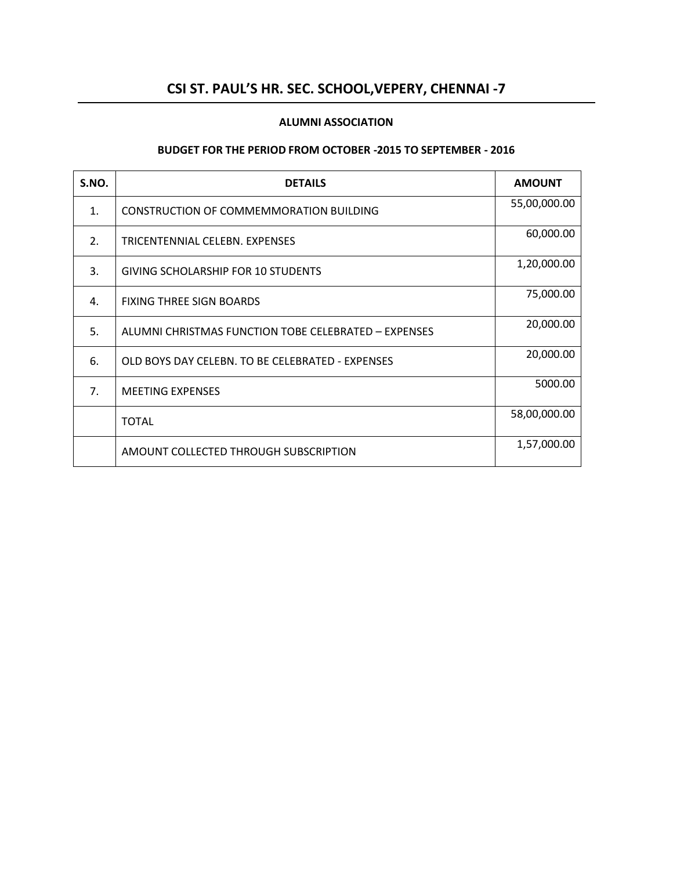## **CSI ST. PAUL'S HR. SEC. SCHOOL,VEPERY, CHENNAI -7**

#### **ALUMNI ASSOCIATION**

#### **BUDGET FOR THE PERIOD FROM OCTOBER -2015 TO SEPTEMBER - 2016**

| S.NO. | <b>DETAILS</b>                                       | <b>AMOUNT</b> |
|-------|------------------------------------------------------|---------------|
| 1.    | CONSTRUCTION OF COMMEMMORATION BUILDING              | 55,00,000.00  |
| 2.    | TRICENTENNIAL CELEBN. EXPENSES                       | 60,000.00     |
| 3.    | <b>GIVING SCHOLARSHIP FOR 10 STUDENTS</b>            | 1,20,000.00   |
| 4.    | <b>FIXING THREE SIGN BOARDS</b>                      | 75,000.00     |
| 5.    | ALUMNI CHRISTMAS FUNCTION TOBE CELEBRATED - EXPENSES | 20,000.00     |
| 6.    | OLD BOYS DAY CELEBN. TO BE CELEBRATED - EXPENSES     | 20,000.00     |
| 7.    | <b>MEETING EXPENSES</b>                              | 5000.00       |
|       | <b>TOTAL</b>                                         | 58,00,000.00  |
|       | AMOUNT COLLECTED THROUGH SUBSCRIPTION                | 1,57,000.00   |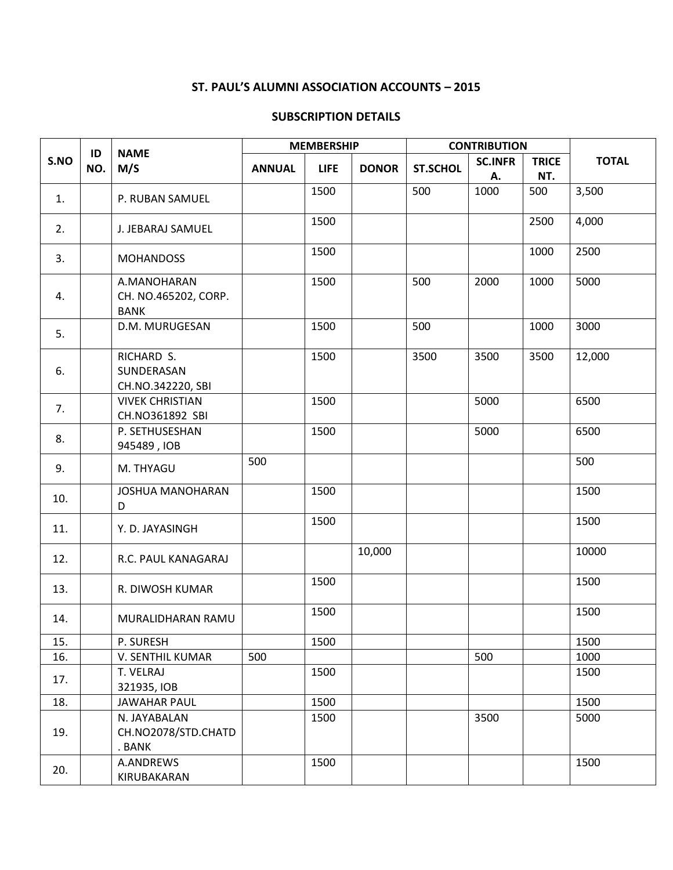## **ST. PAUL'S ALUMNI ASSOCIATION ACCOUNTS – 2015**

#### **SUBSCRIPTION DETAILS**

|      |           |                                                    |               | <b>MEMBERSHIP</b> |              | <b>CONTRIBUTION</b> |                      |                     |              |
|------|-----------|----------------------------------------------------|---------------|-------------------|--------------|---------------------|----------------------|---------------------|--------------|
| S.NO | ID<br>NO. | <b>NAME</b><br>M/S                                 | <b>ANNUAL</b> | <b>LIFE</b>       | <b>DONOR</b> | <b>ST.SCHOL</b>     | <b>SC.INFR</b><br>Α. | <b>TRICE</b><br>NT. | <b>TOTAL</b> |
| 1.   |           | P. RUBAN SAMUEL                                    |               | 1500              |              | 500                 | 1000                 | 500                 | 3,500        |
| 2.   |           | J. JEBARAJ SAMUEL                                  |               | 1500              |              |                     |                      | 2500                | 4,000        |
| 3.   |           | <b>MOHANDOSS</b>                                   |               | 1500              |              |                     |                      | 1000                | 2500         |
| 4.   |           | A.MANOHARAN<br>CH. NO.465202, CORP.<br><b>BANK</b> |               | 1500              |              | 500                 | 2000                 | 1000                | 5000         |
| 5.   |           | D.M. MURUGESAN                                     |               | 1500              |              | 500                 |                      | 1000                | 3000         |
| 6.   |           | RICHARD S.<br>SUNDERASAN<br>CH.NO.342220, SBI      |               | 1500              |              | 3500                | 3500                 | 3500                | 12,000       |
| 7.   |           | <b>VIVEK CHRISTIAN</b><br>CH.NO361892 SBI          |               | 1500              |              |                     | 5000                 |                     | 6500         |
| 8.   |           | P. SETHUSESHAN<br>945489, IOB                      |               | 1500              |              |                     | 5000                 |                     | 6500         |
| 9.   |           | M. THYAGU                                          | 500           |                   |              |                     |                      |                     | 500          |
| 10.  |           | <b>JOSHUA MANOHARAN</b><br>D                       |               | 1500              |              |                     |                      |                     | 1500         |
| 11.  |           | Y. D. JAYASINGH                                    |               | 1500              |              |                     |                      |                     | 1500         |
| 12.  |           | R.C. PAUL KANAGARAJ                                |               |                   | 10,000       |                     |                      |                     | 10000        |
| 13.  |           | R. DIWOSH KUMAR                                    |               | 1500              |              |                     |                      |                     | 1500         |
| 14.  |           | MURALIDHARAN RAMU                                  |               | 1500              |              |                     |                      |                     | 1500         |
| 15.  |           | P. SURESH                                          |               | 1500              |              |                     |                      |                     | 1500         |
| 16.  |           | V. SENTHIL KUMAR                                   | 500           |                   |              |                     | 500                  |                     | 1000         |
| 17.  |           | T. VELRAJ<br>321935, IOB                           |               | 1500              |              |                     |                      |                     | 1500         |
| 18.  |           | <b>JAWAHAR PAUL</b>                                |               | 1500              |              |                     |                      |                     | 1500         |
| 19.  |           | N. JAYABALAN<br>CH.NO2078/STD.CHATD<br>. BANK      |               | 1500              |              |                     | 3500                 |                     | 5000         |
| 20.  |           | A.ANDREWS<br>KIRUBAKARAN                           |               | 1500              |              |                     |                      |                     | 1500         |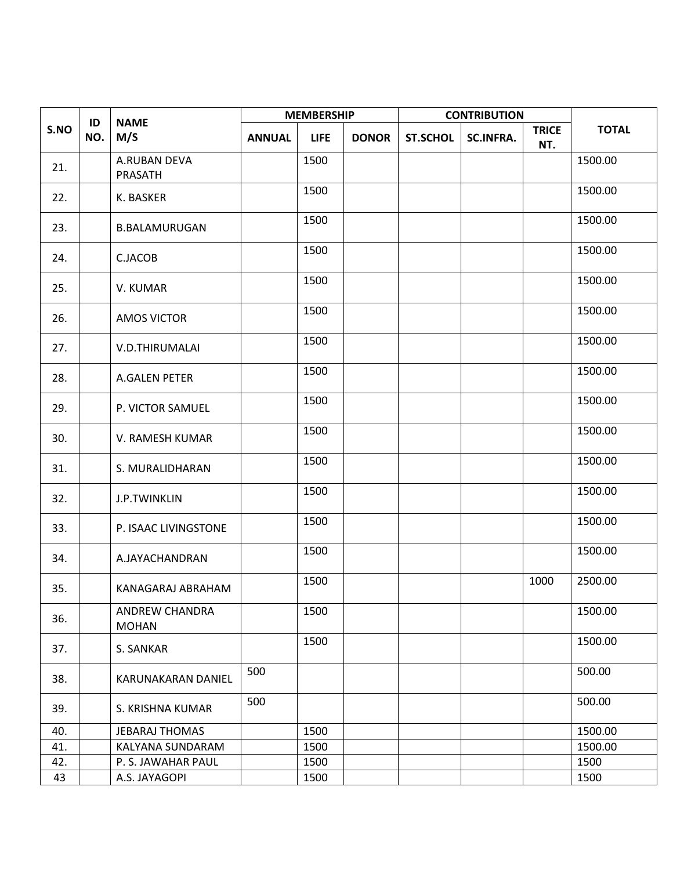| ID   |     | <b>NAME</b>                    |               | <b>MEMBERSHIP</b> |              | <b>CONTRIBUTION</b> |                  |                     |              |
|------|-----|--------------------------------|---------------|-------------------|--------------|---------------------|------------------|---------------------|--------------|
| S.NO | NO. | M/S                            | <b>ANNUAL</b> | <b>LIFE</b>       | <b>DONOR</b> | <b>ST.SCHOL</b>     | <b>SC.INFRA.</b> | <b>TRICE</b><br>NT. | <b>TOTAL</b> |
| 21.  |     | A.RUBAN DEVA<br>PRASATH        |               | 1500              |              |                     |                  |                     | 1500.00      |
| 22.  |     | K. BASKER                      |               | 1500              |              |                     |                  |                     | 1500.00      |
| 23.  |     | <b>B.BALAMURUGAN</b>           |               | 1500              |              |                     |                  |                     | 1500.00      |
| 24.  |     | C.JACOB                        |               | 1500              |              |                     |                  |                     | 1500.00      |
| 25.  |     | V. KUMAR                       |               | 1500              |              |                     |                  |                     | 1500.00      |
| 26.  |     | <b>AMOS VICTOR</b>             |               | 1500              |              |                     |                  |                     | 1500.00      |
| 27.  |     | V.D.THIRUMALAI                 |               | 1500              |              |                     |                  |                     | 1500.00      |
| 28.  |     | A.GALEN PETER                  |               | 1500              |              |                     |                  |                     | 1500.00      |
| 29.  |     | P. VICTOR SAMUEL               |               | 1500              |              |                     |                  |                     | 1500.00      |
| 30.  |     | V. RAMESH KUMAR                |               | 1500              |              |                     |                  |                     | 1500.00      |
| 31.  |     | S. MURALIDHARAN                |               | 1500              |              |                     |                  |                     | 1500.00      |
| 32.  |     | J.P.TWINKLIN                   |               | 1500              |              |                     |                  |                     | 1500.00      |
| 33.  |     | P. ISAAC LIVINGSTONE           |               | 1500              |              |                     |                  |                     | 1500.00      |
| 34.  |     | A.JAYACHANDRAN                 |               | 1500              |              |                     |                  |                     | 1500.00      |
| 35.  |     | KANAGARAJ ABRAHAM              |               | 1500              |              |                     |                  | 1000                | 2500.00      |
| 36.  |     | ANDREW CHANDRA<br><b>MOHAN</b> |               | 1500              |              |                     |                  |                     | 1500.00      |
| 37.  |     | S. SANKAR                      |               | 1500              |              |                     |                  |                     | 1500.00      |
| 38.  |     | KARUNAKARAN DANIEL             | 500           |                   |              |                     |                  |                     | 500.00       |
| 39.  |     | S. KRISHNA KUMAR               | 500           |                   |              |                     |                  |                     | 500.00       |
| 40.  |     | JEBARAJ THOMAS                 |               | 1500              |              |                     |                  |                     | 1500.00      |
| 41.  |     | KALYANA SUNDARAM               |               | 1500              |              |                     |                  |                     | 1500.00      |
| 42.  |     | P. S. JAWAHAR PAUL             |               | 1500              |              |                     |                  |                     | 1500         |
| 43   |     | A.S. JAYAGOPI                  |               | 1500              |              |                     |                  |                     | 1500         |